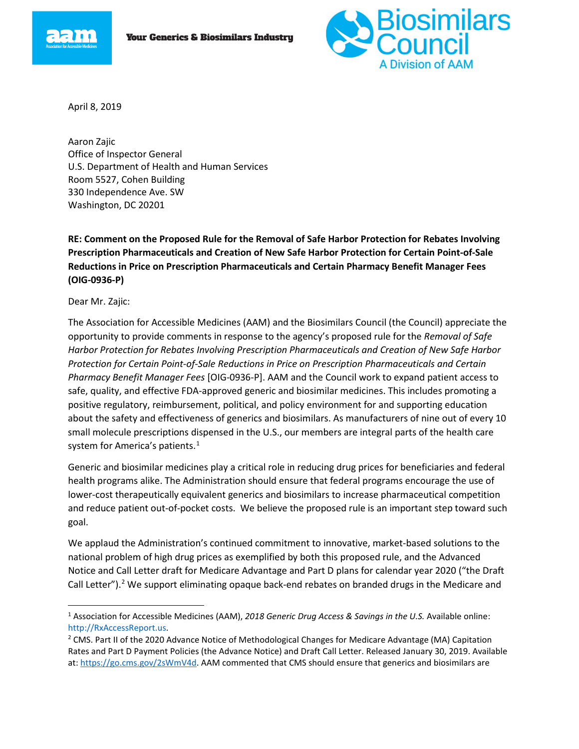



April 8, 2019

Aaron Zajic Office of Inspector General U.S. Department of Health and Human Services Room 5527, Cohen Building 330 Independence Ave. SW Washington, DC 20201

**RE: Comment on the Proposed Rule for the Removal of Safe Harbor Protection for Rebates Involving Prescription Pharmaceuticals and Creation of New Safe Harbor Protection for Certain Point-of-Sale Reductions in Price on Prescription Pharmaceuticals and Certain Pharmacy Benefit Manager Fees (OIG-0936-P)**

Dear Mr. Zajic:

The Association for Accessible Medicines (AAM) and the Biosimilars Council (the Council) appreciate the opportunity to provide comments in response to the agency's proposed rule for the *Removal of Safe Harbor Protection for Rebates Involving Prescription Pharmaceuticals and Creation of New Safe Harbor Protection for Certain Point-of-Sale Reductions in Price on Prescription Pharmaceuticals and Certain Pharmacy Benefit Manager Fees* [OIG-0936-P]. AAM and the Council work to expand patient access to safe, quality, and effective FDA-approved generic and biosimilar medicines. This includes promoting a positive regulatory, reimbursement, political, and policy environment for and supporting education about the safety and effectiveness of generics and biosimilars. As manufacturers of nine out of every 10 small molecule prescriptions dispensed in the U.S., our members are integral parts of the health care system for America's patients.<sup>[1](#page-0-0)</sup>

Generic and biosimilar medicines play a critical role in reducing drug prices for beneficiaries and federal health programs alike. The Administration should ensure that federal programs encourage the use of lower-cost therapeutically equivalent generics and biosimilars to increase pharmaceutical competition and reduce patient out-of-pocket costs. We believe the proposed rule is an important step toward such goal.

We applaud the Administration's continued commitment to innovative, market-based solutions to the national problem of high drug prices as exemplified by both this proposed rule, and the Advanced Notice and Call Letter draft for Medicare Advantage and Part D plans for calendar year 2020 ("the Draft Call Letter").<sup>[2](#page-0-1)</sup> We support eliminating opaque back-end rebates on branded drugs in the Medicare and

<span id="page-0-0"></span><sup>&</sup>lt;sup>1</sup> Association for Accessible Medicines (AAM), 2018 Generic Drug Access & Savings in the U.S. Available online: http://RxAccessReport.us.

<span id="page-0-1"></span><sup>&</sup>lt;sup>2</sup> CMS. Part II of the 2020 Advance Notice of Methodological Changes for Medicare Advantage (MA) Capitation Rates and Part D Payment Policies (the Advance Notice) and Draft Call Letter. Released January 30, 2019. Available at: [https://go.cms.gov/2sWmV4d.](https://go.cms.gov/2sWmV4d) AAM commented that CMS should ensure that generics and biosimilars are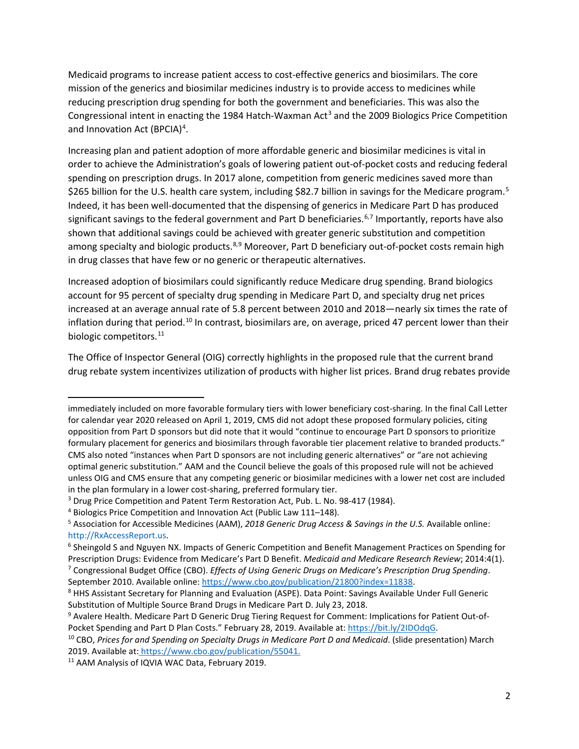Medicaid programs to increase patient access to cost-effective generics and biosimilars. The core mission of the generics and biosimilar medicines industry is to provide access to medicines while reducing prescription drug spending for both the government and beneficiaries. This was also the Congressional intent in enacting the 1984 Hatch-Waxman Act<sup>[3](#page-1-0)</sup> and the 2009 Biologics Price Competition and Innovation Act (BPCIA)<sup>[4](#page-1-1)</sup>.

Increasing plan and patient adoption of more affordable generic and biosimilar medicines is vital in order to achieve the Administration's goals of lowering patient out-of-pocket costs and reducing federal spending on prescription drugs. In 2017 alone, competition from generic medicines saved more than \$26[5](#page-1-2) billion for the U.S. health care system, including \$82.7 billion in savings for the Medicare program.<sup>5</sup> Indeed, it has been well-documented that the dispensing of generics in Medicare Part D has produced significant savings to the federal government and Part D beneficiaries.<sup>6,[7](#page-1-4)</sup> Importantly, reports have also shown that additional savings could be achieved with greater generic substitution and competition among specialty and biologic products.<sup>8,[9](#page-1-6)</sup> Moreover, Part D beneficiary out-of-pocket costs remain high in drug classes that have few or no generic or therapeutic alternatives.

Increased adoption of biosimilars could significantly reduce Medicare drug spending. Brand biologics account for 95 percent of specialty drug spending in Medicare Part D, and specialty drug net prices increased at an average annual rate of 5.8 percent between 2010 and 2018—nearly six times the rate of inflation during that period.<sup>[10](#page-1-7)</sup> In contrast, biosimilars are, on average, priced 47 percent lower than their biologic competitors.<sup>[11](#page-1-8)</sup>

The Office of Inspector General (OIG) correctly highlights in the proposed rule that the current brand drug rebate system incentivizes utilization of products with higher list prices. Brand drug rebates provide

l

immediately included on more favorable formulary tiers with lower beneficiary cost-sharing. In the final Call Letter for calendar year 2020 released on April 1, 2019, CMS did not adopt these proposed formulary policies, citing opposition from Part D sponsors but did note that it would "continue to encourage Part D sponsors to prioritize formulary placement for generics and biosimilars through favorable tier placement relative to branded products." CMS also noted "instances when Part D sponsors are not including generic alternatives" or "are not achieving optimal generic substitution." AAM and the Council believe the goals of this proposed rule will not be achieved unless OIG and CMS ensure that any competing generic or biosimilar medicines with a lower net cost are included in the plan formulary in a lower cost-sharing, preferred formulary tier.

<span id="page-1-0"></span><sup>&</sup>lt;sup>3</sup> Drug Price Competition and Patent Term Restoration Act, Pub. L. No. 98-417 (1984).<br><sup>4</sup> Biologics Price Competition and Innovation Act (Public Law 111–148).

<span id="page-1-1"></span>

<span id="page-1-2"></span><sup>5</sup> Association for Accessible Medicines (AAM), *2018 Generic Drug Access & Savings in the U.S.* Available online: http://RxAccessReport.us.

<span id="page-1-3"></span><sup>6</sup> Sheingold S and Nguyen NX. Impacts of Generic Competition and Benefit Management Practices on Spending for Prescription Drugs: Evidence from Medicare's Part D Benefit. *Medicaid and Medicare Research Review*; 2014:4(1).

<span id="page-1-4"></span><sup>7</sup> Congressional Budget Office (CBO). *Effects of Using Generic Drugs on Medicare's Prescription Drug Spending*. September 2010. Available online[: https://www.cbo.gov/publication/21800?index=11838.](https://www.cbo.gov/publication/21800?index=11838)

<span id="page-1-5"></span><sup>8</sup> HHS Assistant Secretary for Planning and Evaluation (ASPE). Data Point: Savings Available Under Full Generic Substitution of Multiple Source Brand Drugs in Medicare Part D. July 23, 2018.

<span id="page-1-6"></span><sup>9</sup> Avalere Health. Medicare Part D Generic Drug Tiering Request for Comment: Implications for Patient Out-of-Pocket Spending and Part D Plan Costs." February 28, 2019. Available at: [https://bit.ly/2IDOdqG.](https://bit.ly/2IDOdqG)

<span id="page-1-7"></span><sup>10</sup> CBO, *Prices for and Spending on Specialty Drugs in Medicare Part D and Medicaid*. (slide presentation) March 2019. Available at: [https://www.cbo.gov/publication/55041.](https://www.cbo.gov/publication/55041)

<span id="page-1-8"></span><sup>&</sup>lt;sup>11</sup> AAM Analysis of IQVIA WAC Data, February 2019.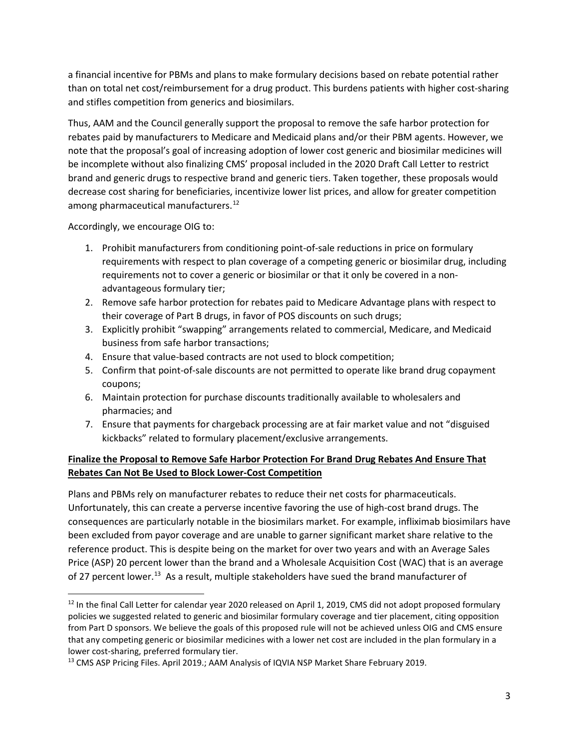a financial incentive for PBMs and plans to make formulary decisions based on rebate potential rather than on total net cost/reimbursement for a drug product. This burdens patients with higher cost-sharing and stifles competition from generics and biosimilars.

Thus, AAM and the Council generally support the proposal to remove the safe harbor protection for rebates paid by manufacturers to Medicare and Medicaid plans and/or their PBM agents. However, we note that the proposal's goal of increasing adoption of lower cost generic and biosimilar medicines will be incomplete without also finalizing CMS' proposal included in the 2020 Draft Call Letter to restrict brand and generic drugs to respective brand and generic tiers. Taken together, these proposals would decrease cost sharing for beneficiaries, incentivize lower list prices, and allow for greater competition among pharmaceutical manufacturers.<sup>[12](#page-2-0)</sup>

Accordingly, we encourage OIG to:

- 1. Prohibit manufacturers from conditioning point-of-sale reductions in price on formulary requirements with respect to plan coverage of a competing generic or biosimilar drug, including requirements not to cover a generic or biosimilar or that it only be covered in a nonadvantageous formulary tier;
- 2. Remove safe harbor protection for rebates paid to Medicare Advantage plans with respect to their coverage of Part B drugs, in favor of POS discounts on such drugs;
- 3. Explicitly prohibit "swapping" arrangements related to commercial, Medicare, and Medicaid business from safe harbor transactions;
- 4. Ensure that value-based contracts are not used to block competition;
- 5. Confirm that point-of-sale discounts are not permitted to operate like brand drug copayment coupons;
- 6. Maintain protection for purchase discounts traditionally available to wholesalers and pharmacies; and
- 7. Ensure that payments for chargeback processing are at fair market value and not "disguised kickbacks" related to formulary placement/exclusive arrangements.

### **Finalize the Proposal to Remove Safe Harbor Protection For Brand Drug Rebates And Ensure That Rebates Can Not Be Used to Block Lower-Cost Competition**

Plans and PBMs rely on manufacturer rebates to reduce their net costs for pharmaceuticals. Unfortunately, this can create a perverse incentive favoring the use of high-cost brand drugs. The consequences are particularly notable in the biosimilars market. For example, infliximab biosimilars have been excluded from payor coverage and are unable to garner significant market share relative to the reference product. This is despite being on the market for over two years and with an Average Sales Price (ASP) 20 percent lower than the brand and a Wholesale Acquisition Cost (WAC) that is an average of 27 percent lower.<sup>[13](#page-2-1)</sup> As a result, multiple stakeholders have sued the brand manufacturer of

<span id="page-2-0"></span> $12$  In the final Call Letter for calendar year 2020 released on April 1, 2019, CMS did not adopt proposed formulary policies we suggested related to generic and biosimilar formulary coverage and tier placement, citing opposition from Part D sponsors. We believe the goals of this proposed rule will not be achieved unless OIG and CMS ensure that any competing generic or biosimilar medicines with a lower net cost are included in the plan formulary in a lower cost-sharing, preferred formulary tier.

<span id="page-2-1"></span><sup>&</sup>lt;sup>13</sup> CMS ASP Pricing Files. April 2019.; AAM Analysis of IQVIA NSP Market Share February 2019.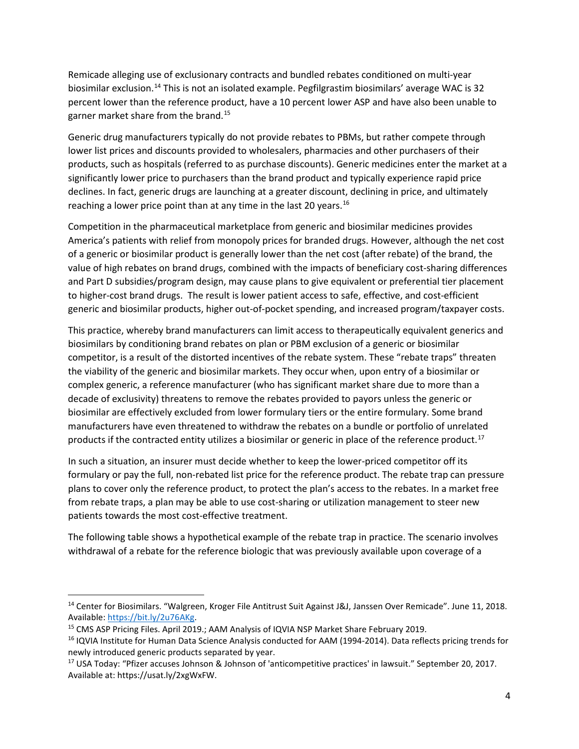Remicade alleging use of exclusionary contracts and bundled rebates conditioned on multi-year biosimilar exclusion.<sup>[14](#page-3-0)</sup> This is not an isolated example. Pegfilgrastim biosimilars' average WAC is 32 percent lower than the reference product, have a 10 percent lower ASP and have also been unable to garner market share from the brand.[15](#page-3-1)

Generic drug manufacturers typically do not provide rebates to PBMs, but rather compete through lower list prices and discounts provided to wholesalers, pharmacies and other purchasers of their products, such as hospitals (referred to as purchase discounts). Generic medicines enter the market at a significantly lower price to purchasers than the brand product and typically experience rapid price declines. In fact, generic drugs are launching at a greater discount, declining in price, and ultimately reaching a lower price point than at any time in the last 20 years.<sup>[16](#page-3-2)</sup>

Competition in the pharmaceutical marketplace from generic and biosimilar medicines provides America's patients with relief from monopoly prices for branded drugs. However, although the net cost of a generic or biosimilar product is generally lower than the net cost (after rebate) of the brand, the value of high rebates on brand drugs, combined with the impacts of beneficiary cost-sharing differences and Part D subsidies/program design, may cause plans to give equivalent or preferential tier placement to higher-cost brand drugs. The result is lower patient access to safe, effective, and cost-efficient generic and biosimilar products, higher out-of-pocket spending, and increased program/taxpayer costs.

This practice, whereby brand manufacturers can limit access to therapeutically equivalent generics and biosimilars by conditioning brand rebates on plan or PBM exclusion of a generic or biosimilar competitor, is a result of the distorted incentives of the rebate system. These "rebate traps" threaten the viability of the generic and biosimilar markets. They occur when, upon entry of a biosimilar or complex generic, a reference manufacturer (who has significant market share due to more than a decade of exclusivity) threatens to remove the rebates provided to payors unless the generic or biosimilar are effectively excluded from lower formulary tiers or the entire formulary. Some brand manufacturers have even threatened to withdraw the rebates on a bundle or portfolio of unrelated products if the contracted entity utilizes a biosimilar or generic in place of the reference product.<sup>[17](#page-3-3)</sup>

In such a situation, an insurer must decide whether to keep the lower-priced competitor off its formulary or pay the full, non-rebated list price for the reference product. The rebate trap can pressure plans to cover only the reference product, to protect the plan's access to the rebates. In a market free from rebate traps, a plan may be able to use cost-sharing or utilization management to steer new patients towards the most cost-effective treatment.

The following table shows a hypothetical example of the rebate trap in practice. The scenario involves withdrawal of a rebate for the reference biologic that was previously available upon coverage of a

<span id="page-3-0"></span><sup>&</sup>lt;sup>14</sup> Center for Biosimilars. "Walgreen, Kroger File Antitrust Suit Against J&J, Janssen Over Remicade". June 11, 2018. Available: [https://bit.ly/2u76AKg.](https://bit.ly/2u76AKg)<br><sup>15</sup> CMS ASP Pricing Files. April 2019.; AAM Analysis of IQVIA NSP Market Share February 2019.

<span id="page-3-1"></span>

<span id="page-3-2"></span><sup>&</sup>lt;sup>16</sup> IQVIA Institute for Human Data Science Analysis conducted for AAM (1994-2014). Data reflects pricing trends for newly introduced generic products separated by year.

<span id="page-3-3"></span><sup>&</sup>lt;sup>17</sup> USA Today: "Pfizer accuses Johnson & Johnson of 'anticompetitive practices' in lawsuit." September 20, 2017. Available at: https://usat.ly/2xgWxFW.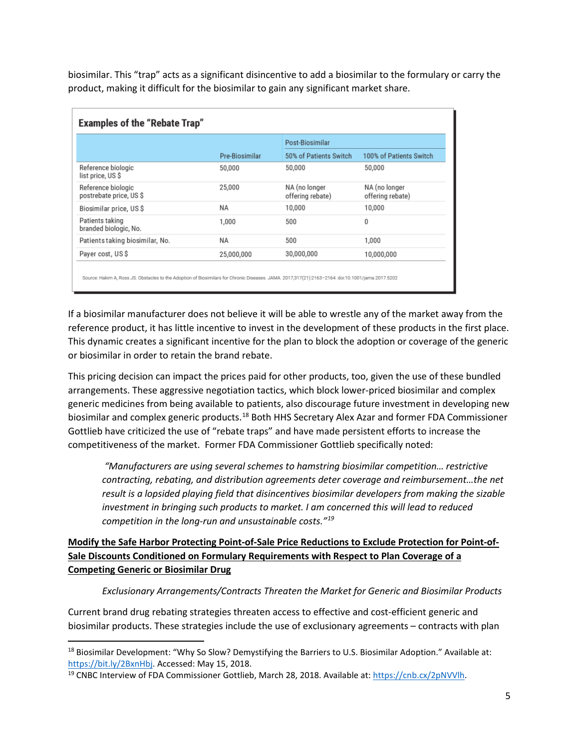biosimilar. This "trap" acts as a significant disincentive to add a biosimilar to the formulary or carry the product, making it difficult for the biosimilar to gain any significant market share.

|                                               |                | Post-Biosimilar                   |                                   |
|-----------------------------------------------|----------------|-----------------------------------|-----------------------------------|
|                                               | Pre-Biosimilar | 50% of Patients Switch            | 100% of Patients Switch           |
| Reference biologic<br>list price, US \$       | 50,000         | 50,000                            | 50,000                            |
| Reference biologic<br>postrebate price, US \$ | 25,000         | NA (no longer<br>offering rebate) | NA (no longer<br>offering rebate) |
| Biosimilar price, US \$                       | ΝA             | 10,000                            | 10,000                            |
| Patients taking<br>branded biologic, No.      | 1.000          | 500                               | 0                                 |
| Patients taking biosimilar, No.               | NΑ             | 500                               | 1,000                             |
| Payer cost, US \$                             | 25,000,000     | 30,000,000                        | 10,000,000                        |

If a biosimilar manufacturer does not believe it will be able to wrestle any of the market away from the reference product, it has little incentive to invest in the development of these products in the first place. This dynamic creates a significant incentive for the plan to block the adoption or coverage of the generic or biosimilar in order to retain the brand rebate.

This pricing decision can impact the prices paid for other products, too, given the use of these bundled arrangements. These aggressive negotiation tactics, which block lower-priced biosimilar and complex generic medicines from being available to patients, also discourage future investment in developing new biosimilar and complex generic products.[18](#page-4-0) Both HHS Secretary Alex Azar and former FDA Commissioner Gottlieb have criticized the use of "rebate traps" and have made persistent efforts to increase the competitiveness of the market. Former FDA Commissioner Gottlieb specifically noted:

*"Manufacturers are using several schemes to hamstring biosimilar competition… restrictive contracting, rebating, and distribution agreements deter coverage and reimbursement…the net result is a lopsided playing field that disincentives biosimilar developers from making the sizable investment in bringing such products to market. I am concerned this will lead to reduced competition in the long-run and unsustainable costs."[19](#page-4-1)*

### **Modify the Safe Harbor Protecting Point-of-Sale Price Reductions to Exclude Protection for Point-of-Sale Discounts Conditioned on Formulary Requirements with Respect to Plan Coverage of a Competing Generic or Biosimilar Drug**

### *Exclusionary Arrangements/Contracts Threaten the Market for Generic and Biosimilar Products*

Current brand drug rebating strategies threaten access to effective and cost-efficient generic and biosimilar products. These strategies include the use of exclusionary agreements – contracts with plan

<span id="page-4-0"></span><sup>&</sup>lt;sup>18</sup> Biosimilar Development: "Why So Slow? Demystifying the Barriers to U.S. Biosimilar Adoption." Available at: [https://bit.ly/2BxnHbj.](https://bit.ly/2BxnHbj) Accessed: May 15, 2018.<br><sup>19</sup> CNBC Interview of FDA Commissioner Gottlieb, March 28, 2018. Available at: [https://cnb.cx/2pNVVlh.](https://cnb.cx/2pNVVlh)

<span id="page-4-1"></span>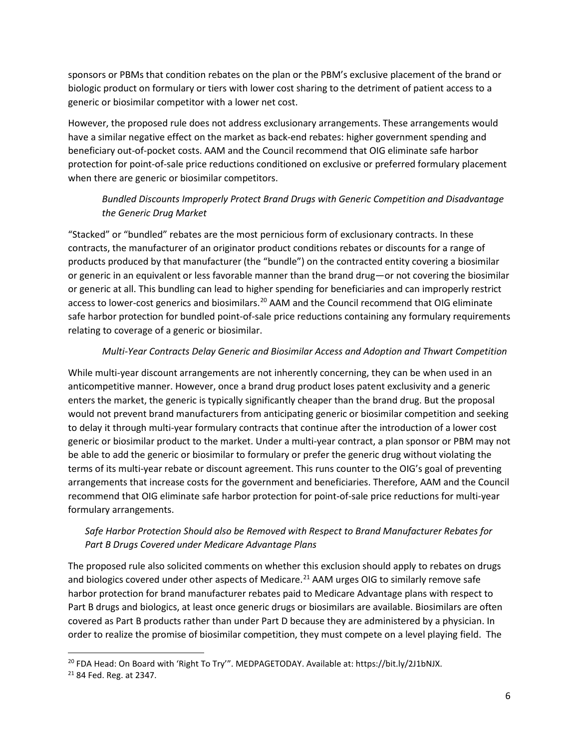sponsors or PBMs that condition rebates on the plan or the PBM's exclusive placement of the brand or biologic product on formulary or tiers with lower cost sharing to the detriment of patient access to a generic or biosimilar competitor with a lower net cost.

However, the proposed rule does not address exclusionary arrangements. These arrangements would have a similar negative effect on the market as back-end rebates: higher government spending and beneficiary out-of-pocket costs. AAM and the Council recommend that OIG eliminate safe harbor protection for point-of-sale price reductions conditioned on exclusive or preferred formulary placement when there are generic or biosimilar competitors.

# *Bundled Discounts Improperly Protect Brand Drugs with Generic Competition and Disadvantage the Generic Drug Market*

"Stacked" or "bundled" rebates are the most pernicious form of exclusionary contracts. In these contracts, the manufacturer of an originator product conditions rebates or discounts for a range of products produced by that manufacturer (the "bundle") on the contracted entity covering a biosimilar or generic in an equivalent or less favorable manner than the brand drug—or not covering the biosimilar or generic at all. This bundling can lead to higher spending for beneficiaries and can improperly restrict access to lower-cost generics and biosimilars.<sup>[20](#page-5-0)</sup> AAM and the Council recommend that OIG eliminate safe harbor protection for bundled point-of-sale price reductions containing any formulary requirements relating to coverage of a generic or biosimilar.

### *Multi-Year Contracts Delay Generic and Biosimilar Access and Adoption and Thwart Competition*

While multi-year discount arrangements are not inherently concerning, they can be when used in an anticompetitive manner. However, once a brand drug product loses patent exclusivity and a generic enters the market, the generic is typically significantly cheaper than the brand drug. But the proposal would not prevent brand manufacturers from anticipating generic or biosimilar competition and seeking to delay it through multi-year formulary contracts that continue after the introduction of a lower cost generic or biosimilar product to the market. Under a multi-year contract, a plan sponsor or PBM may not be able to add the generic or biosimilar to formulary or prefer the generic drug without violating the terms of its multi-year rebate or discount agreement. This runs counter to the OIG's goal of preventing arrangements that increase costs for the government and beneficiaries. Therefore, AAM and the Council recommend that OIG eliminate safe harbor protection for point-of-sale price reductions for multi-year formulary arrangements.

### *Safe Harbor Protection Should also be Removed with Respect to Brand Manufacturer Rebates for Part B Drugs Covered under Medicare Advantage Plans*

The proposed rule also solicited comments on whether this exclusion should apply to rebates on drugs and biologics covered under other aspects of Medicare.<sup>[21](#page-5-1)</sup> AAM urges OIG to similarly remove safe harbor protection for brand manufacturer rebates paid to Medicare Advantage plans with respect to Part B drugs and biologics, at least once generic drugs or biosimilars are available. Biosimilars are often covered as Part B products rather than under Part D because they are administered by a physician. In order to realize the promise of biosimilar competition, they must compete on a level playing field. The

<span id="page-5-0"></span> <sup>20</sup> FDA Head: On Board with 'Right To Try'". MEDPAGETODAY. Available at: https://bit.ly/2J1bNJX.

<span id="page-5-1"></span><sup>21</sup> 84 Fed. Reg. at 2347.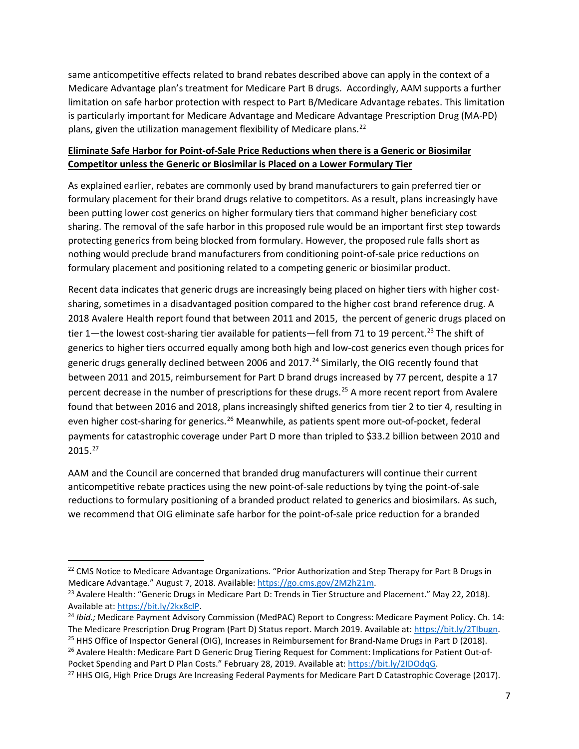same anticompetitive effects related to brand rebates described above can apply in the context of a Medicare Advantage plan's treatment for Medicare Part B drugs. Accordingly, AAM supports a further limitation on safe harbor protection with respect to Part B/Medicare Advantage rebates. This limitation is particularly important for Medicare Advantage and Medicare Advantage Prescription Drug (MA-PD) plans, given the utilization management flexibility of Medicare plans.<sup>[22](#page-6-0)</sup>

### **Eliminate Safe Harbor for Point-of-Sale Price Reductions when there is a Generic or Biosimilar Competitor unless the Generic or Biosimilar is Placed on a Lower Formulary Tier**

As explained earlier, rebates are commonly used by brand manufacturers to gain preferred tier or formulary placement for their brand drugs relative to competitors. As a result, plans increasingly have been putting lower cost generics on higher formulary tiers that command higher beneficiary cost sharing. The removal of the safe harbor in this proposed rule would be an important first step towards protecting generics from being blocked from formulary. However, the proposed rule falls short as nothing would preclude brand manufacturers from conditioning point-of-sale price reductions on formulary placement and positioning related to a competing generic or biosimilar product.

Recent data indicates that generic drugs are increasingly being placed on higher tiers with higher costsharing, sometimes in a disadvantaged position compared to the higher cost brand reference drug. A 2018 Avalere Health report found that between 2011 and 2015, the percent of generic drugs placed on tier 1—the lowest cost-sharing tier available for patients—fell from 71 to 19 percent.<sup>[23](#page-6-1)</sup> The shift of generics to higher tiers occurred equally among both high and low-cost generics even though prices for generic drugs generally declined between 2006 and  $2017.<sup>24</sup>$  $2017.<sup>24</sup>$  $2017.<sup>24</sup>$  Similarly, the OIG recently found that between 2011 and 2015, reimbursement for Part D brand drugs increased by 77 percent, despite a 17 percent decrease in the number of prescriptions for these drugs.<sup>[25](#page-6-3)</sup> A more recent report from Avalere found that between 2016 and 2018, plans increasingly shifted generics from tier 2 to tier 4, resulting in even higher cost-sharing for generics.<sup>[26](#page-6-4)</sup> Meanwhile, as patients spent more out-of-pocket, federal payments for catastrophic coverage under Part D more than tripled to \$33.2 billion between 2010 and 2015.[27](#page-6-5)

AAM and the Council are concerned that branded drug manufacturers will continue their current anticompetitive rebate practices using the new point-of-sale reductions by tying the point-of-sale reductions to formulary positioning of a branded product related to generics and biosimilars. As such, we recommend that OIG eliminate safe harbor for the point-of-sale price reduction for a branded

<span id="page-6-3"></span><sup>25</sup> HHS Office of Inspector General (OIG), Increases in Reimbursement for Brand-Name Drugs in Part D (2018).

<span id="page-6-4"></span><sup>26</sup> Avalere Health: Medicare Part D Generic Drug Tiering Request for Comment: Implications for Patient Out-of-Pocket Spending and Part D Plan Costs." February 28, 2019. Available at: [https://bit.ly/2IDOdqG.](https://bit.ly/2IDOdqG)

<span id="page-6-0"></span><sup>&</sup>lt;sup>22</sup> CMS Notice to Medicare Advantage Organizations. "Prior Authorization and Step Therapy for Part B Drugs in Medicare Advantage." August 7, 2018. Available[: https://go.cms.gov/2M2h21m.](https://go.cms.gov/2M2h21m)<br><sup>23</sup> Avalere Health: "Generic Drugs in Medicare Part D: Trends in Tier Structure and Placement." May 22, 2018).

<span id="page-6-1"></span>Available at: [https://bit.ly/2kx8cIP.](https://bit.ly/2kx8cIP)

<span id="page-6-2"></span><sup>24</sup> *Ibid.;* Medicare Payment Advisory Commission (MedPAC) Report to Congress: Medicare Payment Policy. Ch. 14: The Medicare Prescription Drug Program (Part D) Status report. March 2019. Available at: [https://bit.ly/2TIbugn.](https://bit.ly/2TIbugn)

<span id="page-6-5"></span><sup>&</sup>lt;sup>27</sup> HHS OIG, High Price Drugs Are Increasing Federal Payments for Medicare Part D Catastrophic Coverage (2017).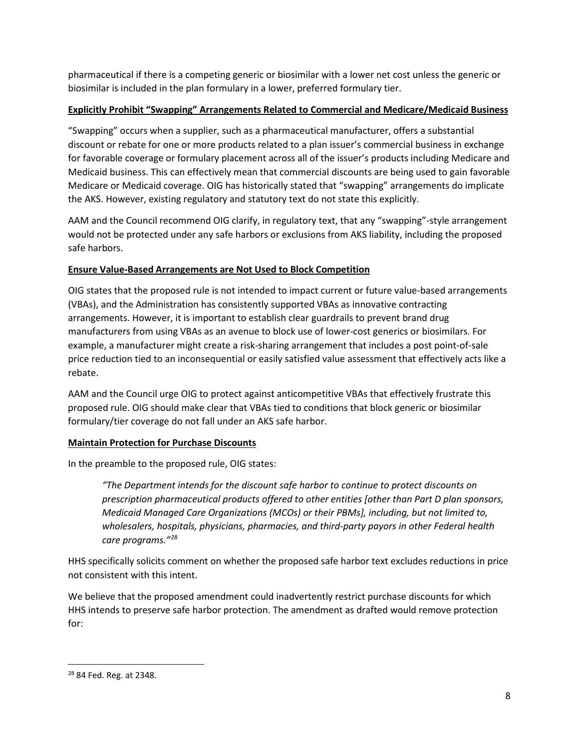pharmaceutical if there is a competing generic or biosimilar with a lower net cost unless the generic or biosimilar is included in the plan formulary in a lower, preferred formulary tier.

### **Explicitly Prohibit "Swapping" Arrangements Related to Commercial and Medicare/Medicaid Business**

"Swapping" occurs when a supplier, such as a pharmaceutical manufacturer, offers a substantial discount or rebate for one or more products related to a plan issuer's commercial business in exchange for favorable coverage or formulary placement across all of the issuer's products including Medicare and Medicaid business. This can effectively mean that commercial discounts are being used to gain favorable Medicare or Medicaid coverage. OIG has historically stated that "swapping" arrangements do implicate the AKS. However, existing regulatory and statutory text do not state this explicitly.

AAM and the Council recommend OIG clarify, in regulatory text, that any "swapping"-style arrangement would not be protected under any safe harbors or exclusions from AKS liability, including the proposed safe harbors.

#### **Ensure Value-Based Arrangements are Not Used to Block Competition**

OIG states that the proposed rule is not intended to impact current or future value-based arrangements (VBAs), and the Administration has consistently supported VBAs as innovative contracting arrangements. However, it is important to establish clear guardrails to prevent brand drug manufacturers from using VBAs as an avenue to block use of lower-cost generics or biosimilars. For example, a manufacturer might create a risk-sharing arrangement that includes a post point-of-sale price reduction tied to an inconsequential or easily satisfied value assessment that effectively acts like a rebate.

AAM and the Council urge OIG to protect against anticompetitive VBAs that effectively frustrate this proposed rule. OIG should make clear that VBAs tied to conditions that block generic or biosimilar formulary/tier coverage do not fall under an AKS safe harbor.

### **Maintain Protection for Purchase Discounts**

In the preamble to the proposed rule, OIG states:

*"The Department intends for the discount safe harbor to continue to protect discounts on prescription pharmaceutical products offered to other entities [other than Part D plan sponsors, Medicaid Managed Care Organizations (MCOs) or their PBMs], including, but not limited to, wholesalers, hospitals, physicians, pharmacies, and third-party payors in other Federal health care programs."[28](#page-7-0)* 

HHS specifically solicits comment on whether the proposed safe harbor text excludes reductions in price not consistent with this intent.

We believe that the proposed amendment could inadvertently restrict purchase discounts for which HHS intends to preserve safe harbor protection. The amendment as drafted would remove protection for:

<span id="page-7-0"></span> <sup>28</sup> 84 Fed. Reg. at 2348.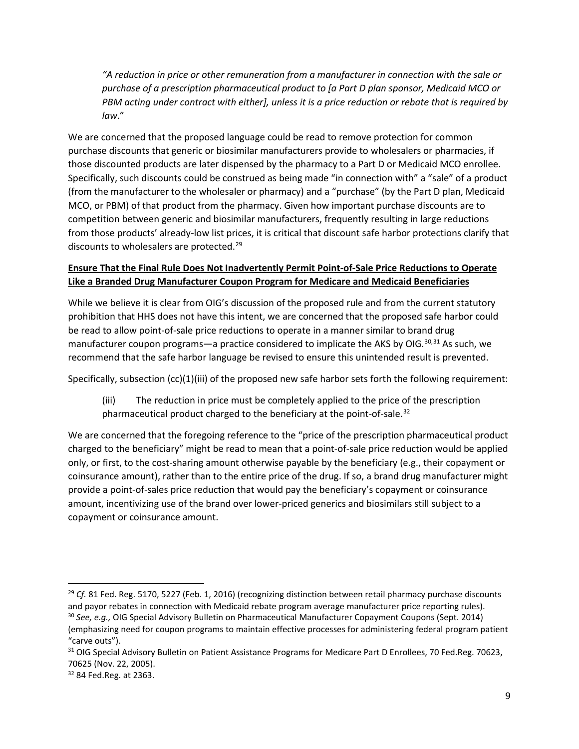*"A reduction in price or other remuneration from a manufacturer in connection with the sale or purchase of a prescription pharmaceutical product to [a Part D plan sponsor, Medicaid MCO or PBM acting under contract with either], unless it is a price reduction or rebate that is required by law*."

We are concerned that the proposed language could be read to remove protection for common purchase discounts that generic or biosimilar manufacturers provide to wholesalers or pharmacies, if those discounted products are later dispensed by the pharmacy to a Part D or Medicaid MCO enrollee. Specifically, such discounts could be construed as being made "in connection with" a "sale" of a product (from the manufacturer to the wholesaler or pharmacy) and a "purchase" (by the Part D plan, Medicaid MCO, or PBM) of that product from the pharmacy. Given how important purchase discounts are to competition between generic and biosimilar manufacturers, frequently resulting in large reductions from those products' already-low list prices, it is critical that discount safe harbor protections clarify that discounts to wholesalers are protected.<sup>[29](#page-8-0)</sup>

## **Ensure That the Final Rule Does Not Inadvertently Permit Point-of-Sale Price Reductions to Operate Like a Branded Drug Manufacturer Coupon Program for Medicare and Medicaid Beneficiaries**

While we believe it is clear from OIG's discussion of the proposed rule and from the current statutory prohibition that HHS does not have this intent, we are concerned that the proposed safe harbor could be read to allow point-of-sale price reductions to operate in a manner similar to brand drug manufacturer coupon programs—a practice considered to implicate the AKS by OIG.<sup>[30](#page-8-1),[31](#page-8-2)</sup> As such, we recommend that the safe harbor language be revised to ensure this unintended result is prevented.

Specifically, subsection (cc)(1)(iii) of the proposed new safe harbor sets forth the following requirement:

(iii) The reduction in price must be completely applied to the price of the prescription pharmaceutical product charged to the beneficiary at the point-of-sale.<sup>32</sup>

We are concerned that the foregoing reference to the "price of the prescription pharmaceutical product charged to the beneficiary" might be read to mean that a point-of-sale price reduction would be applied only, or first, to the cost-sharing amount otherwise payable by the beneficiary (e.g., their copayment or coinsurance amount), rather than to the entire price of the drug. If so, a brand drug manufacturer might provide a point-of-sales price reduction that would pay the beneficiary's copayment or coinsurance amount, incentivizing use of the brand over lower-priced generics and biosimilars still subject to a copayment or coinsurance amount.

<span id="page-8-1"></span><span id="page-8-0"></span> <sup>29</sup> *Cf.* 81 Fed. Reg. 5170, 5227 (Feb. 1, 2016) (recognizing distinction between retail pharmacy purchase discounts and payor rebates in connection with Medicaid rebate program average manufacturer price reporting rules). <sup>30</sup> *See, e.g.,* OIG Special Advisory Bulletin on Pharmaceutical Manufacturer Copayment Coupons (Sept. 2014) (emphasizing need for coupon programs to maintain effective processes for administering federal program patient

<sup>&</sup>quot;carve outs").

<span id="page-8-2"></span><sup>&</sup>lt;sup>31</sup> OIG Special Advisory Bulletin on Patient Assistance Programs for Medicare Part D Enrollees, 70 Fed.Reg. 70623, 70625 (Nov. 22, 2005).

<span id="page-8-3"></span><sup>32</sup> 84 Fed.Reg. at 2363.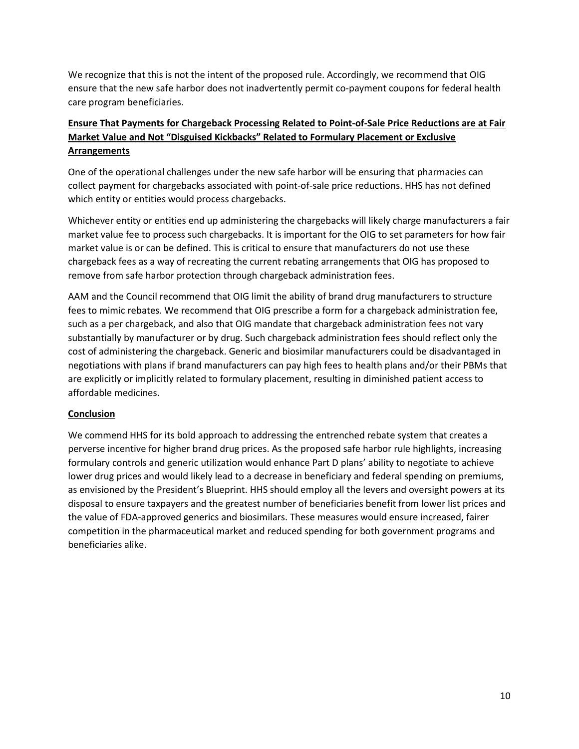We recognize that this is not the intent of the proposed rule. Accordingly, we recommend that OIG ensure that the new safe harbor does not inadvertently permit co-payment coupons for federal health care program beneficiaries.

## **Ensure That Payments for Chargeback Processing Related to Point-of-Sale Price Reductions are at Fair Market Value and Not "Disguised Kickbacks" Related to Formulary Placement or Exclusive Arrangements**

One of the operational challenges under the new safe harbor will be ensuring that pharmacies can collect payment for chargebacks associated with point-of-sale price reductions. HHS has not defined which entity or entities would process chargebacks.

Whichever entity or entities end up administering the chargebacks will likely charge manufacturers a fair market value fee to process such chargebacks. It is important for the OIG to set parameters for how fair market value is or can be defined. This is critical to ensure that manufacturers do not use these chargeback fees as a way of recreating the current rebating arrangements that OIG has proposed to remove from safe harbor protection through chargeback administration fees.

AAM and the Council recommend that OIG limit the ability of brand drug manufacturers to structure fees to mimic rebates. We recommend that OIG prescribe a form for a chargeback administration fee, such as a per chargeback, and also that OIG mandate that chargeback administration fees not vary substantially by manufacturer or by drug. Such chargeback administration fees should reflect only the cost of administering the chargeback. Generic and biosimilar manufacturers could be disadvantaged in negotiations with plans if brand manufacturers can pay high fees to health plans and/or their PBMs that are explicitly or implicitly related to formulary placement, resulting in diminished patient access to affordable medicines.

### **Conclusion**

We commend HHS for its bold approach to addressing the entrenched rebate system that creates a perverse incentive for higher brand drug prices. As the proposed safe harbor rule highlights, increasing formulary controls and generic utilization would enhance Part D plans' ability to negotiate to achieve lower drug prices and would likely lead to a decrease in beneficiary and federal spending on premiums, as envisioned by the President's Blueprint. HHS should employ all the levers and oversight powers at its disposal to ensure taxpayers and the greatest number of beneficiaries benefit from lower list prices and the value of FDA-approved generics and biosimilars. These measures would ensure increased, fairer competition in the pharmaceutical market and reduced spending for both government programs and beneficiaries alike.